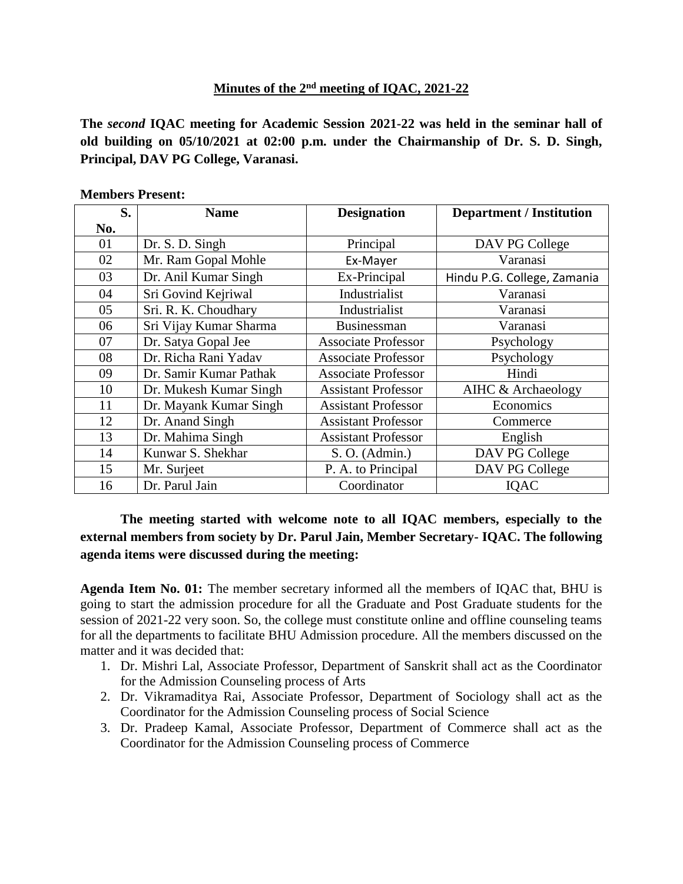## **Minutes of the 2 nd meeting of IQAC, 2021-22**

**The** *second* **IQAC meeting for Academic Session 2021-22 was held in the seminar hall of old building on 05/10/2021 at 02:00 p.m. under the Chairmanship of Dr. S. D. Singh, Principal, DAV PG College, Varanasi.**

| S.  | <b>Name</b>            | <b>Designation</b>         | <b>Department / Institution</b> |
|-----|------------------------|----------------------------|---------------------------------|
| No. |                        |                            |                                 |
| 01  | Dr. S. D. Singh        | Principal                  | DAV PG College                  |
| 02  | Mr. Ram Gopal Mohle    | Ex-Mayer                   | Varanasi                        |
| 03  | Dr. Anil Kumar Singh   | Ex-Principal               | Hindu P.G. College, Zamania     |
| 04  | Sri Govind Kejriwal    | Industrialist              | Varanasi                        |
| 05  | Sri. R. K. Choudhary   | Industrialist              | Varanasi                        |
| 06  | Sri Vijay Kumar Sharma | <b>Businessman</b>         | Varanasi                        |
| 07  | Dr. Satya Gopal Jee    | <b>Associate Professor</b> | Psychology                      |
| 08  | Dr. Richa Rani Yadav   | <b>Associate Professor</b> | Psychology                      |
| 09  | Dr. Samir Kumar Pathak | <b>Associate Professor</b> | Hindi                           |
| 10  | Dr. Mukesh Kumar Singh | <b>Assistant Professor</b> | AIHC & Archaeology              |
| 11  | Dr. Mayank Kumar Singh | <b>Assistant Professor</b> | Economics                       |
| 12  | Dr. Anand Singh        | <b>Assistant Professor</b> | Commerce                        |
| 13  | Dr. Mahima Singh       | <b>Assistant Professor</b> | English                         |
| 14  | Kunwar S. Shekhar      | S. O. (Admin.)             | DAV PG College                  |
| 15  | Mr. Surjeet            | P. A. to Principal         | DAV PG College                  |
| 16  | Dr. Parul Jain         | Coordinator                | IQAC                            |

## **Members Present:**

**The meeting started with welcome note to all IQAC members, especially to the external members from society by Dr. Parul Jain, Member Secretary- IQAC. The following agenda items were discussed during the meeting:**

**Agenda Item No. 01:** The member secretary informed all the members of IQAC that, BHU is going to start the admission procedure for all the Graduate and Post Graduate students for the session of 2021-22 very soon. So, the college must constitute online and offline counseling teams for all the departments to facilitate BHU Admission procedure. All the members discussed on the matter and it was decided that:

- 1. Dr. Mishri Lal, Associate Professor, Department of Sanskrit shall act as the Coordinator for the Admission Counseling process of Arts
- 2. Dr. Vikramaditya Rai, Associate Professor, Department of Sociology shall act as the Coordinator for the Admission Counseling process of Social Science
- 3. Dr. Pradeep Kamal, Associate Professor, Department of Commerce shall act as the Coordinator for the Admission Counseling process of Commerce